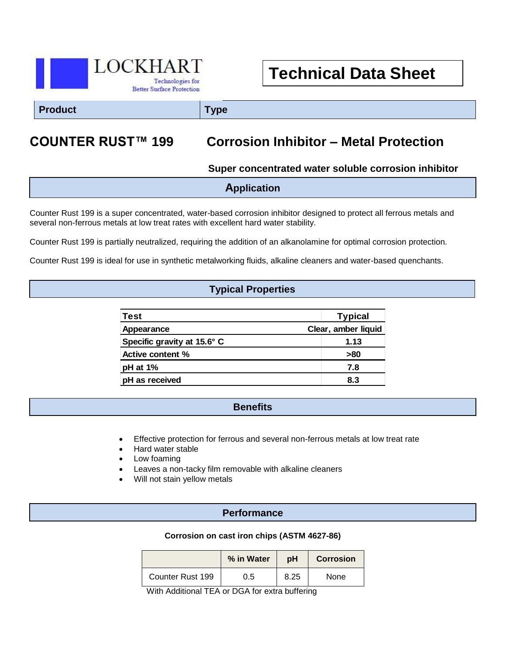

# **Technical Data Sheet**

**Product Type**

# **COUNTER RUST™ 199 Corrosion Inhibitor – Metal Protection**

### **Super concentrated water soluble corrosion inhibitor**

| <b>Application</b> |
|--------------------|
|--------------------|

Counter Rust 199 is a super concentrated, water-based corrosion inhibitor designed to protect all ferrous metals and several non-ferrous metals at low treat rates with excellent hard water stability.

Counter Rust 199 is partially neutralized, requiring the addition of an alkanolamine for optimal corrosion protection.

Counter Rust 199 is ideal for use in synthetic metalworking fluids, alkaline cleaners and water-based quenchants.

### **Typical Properties**

| <b>Test</b>                 | <b>Typical</b>      |  |
|-----------------------------|---------------------|--|
| Appearance                  | Clear, amber liquid |  |
| Specific gravity at 15.6° C | 1.13                |  |
| <b>Active content %</b>     | >80                 |  |
| pH at 1%                    | 7.8                 |  |
| pH as received              | 8.3                 |  |

#### **Benefits**

- Effective protection for ferrous and several non-ferrous metals at low treat rate
- Hard water stable
- Low foaming
- Leaves a non-tacky film removable with alkaline cleaners
- Will not stain yellow metals

### **Performance**

#### **Corrosion on cast iron chips (ASTM 4627-86)**

|                  | % in Water | рH   | <b>Corrosion</b> |
|------------------|------------|------|------------------|
| Counter Rust 199 | 0.5        | 8.25 | None             |

With Additional TEA or DGA for extra buffering